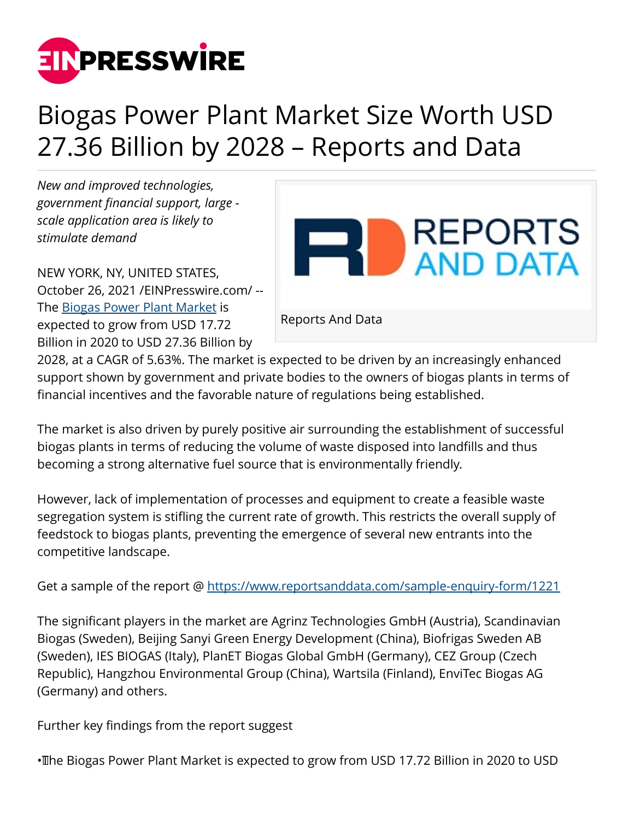

## Biogas Power Plant Market Size Worth USD 27.36 Billion by 2028 – Reports and Data

*New and improved technologies, government financial support, large scale application area is likely to stimulate demand*

NEW YORK, NY, UNITED STATES, October 26, 2021 [/EINPresswire.com](http://www.einpresswire.com)/ -- The [Biogas Power Plant Market](https://www.reportsanddata.com/report-detail/biogas-power-plant-market) is expected to grow from USD 17.72 Billion in 2020 to USD 27.36 Billion by



2028, at a CAGR of 5.63%. The market is expected to be driven by an increasingly enhanced support shown by government and private bodies to the owners of biogas plants in terms of financial incentives and the favorable nature of regulations being established.

The market is also driven by purely positive air surrounding the establishment of successful biogas plants in terms of reducing the volume of waste disposed into landfills and thus becoming a strong alternative fuel source that is environmentally friendly.

However, lack of implementation of processes and equipment to create a feasible waste segregation system is stifling the current rate of growth. This restricts the overall supply of feedstock to biogas plants, preventing the emergence of several new entrants into the competitive landscape.

Get a sample of the report @<https://www.reportsanddata.com/sample-enquiry-form/1221>

The significant players in the market are Agrinz Technologies GmbH (Austria), Scandinavian Biogas (Sweden), Beijing Sanyi Green Energy Development (China), Biofrigas Sweden AB (Sweden), IES BIOGAS (Italy), PlanET Biogas Global GmbH (Germany), CEZ Group (Czech Republic), Hangzhou Environmental Group (China), Wartsila (Finland), EnviTec Biogas AG (Germany) and others.

Further key findings from the report suggest

• The Biogas Power Plant Market is expected to grow from USD 17.72 Billion in 2020 to USD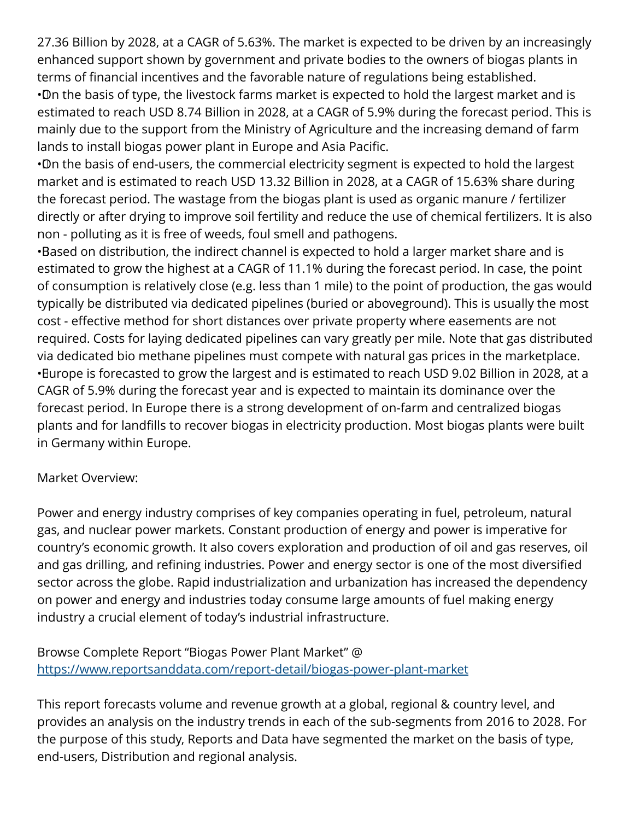27.36 Billion by 2028, at a CAGR of 5.63%. The market is expected to be driven by an increasingly enhanced support shown by government and private bodies to the owners of biogas plants in terms of financial incentives and the favorable nature of regulations being established. • On the basis of type, the livestock farms market is expected to hold the largest market and is estimated to reach USD 8.74 Billion in 2028, at a CAGR of 5.9% during the forecast period. This is mainly due to the support from the Ministry of Agriculture and the increasing demand of farm lands to install biogas power plant in Europe and Asia Pacific.

• On the basis of end-users, the commercial electricity segment is expected to hold the largest market and is estimated to reach USD 13.32 Billion in 2028, at a CAGR of 15.63% share during the forecast period. The wastage from the biogas plant is used as organic manure / fertilizer directly or after drying to improve soil fertility and reduce the use of chemical fertilizers. It is also non - polluting as it is free of weeds, foul smell and pathogens.

•Based on distribution, the indirect channel is expected to hold a larger market share and is estimated to grow the highest at a CAGR of 11.1% during the forecast period. In case, the point of consumption is relatively close (e.g. less than 1 mile) to the point of production, the gas would typically be distributed via dedicated pipelines (buried or aboveground). This is usually the most cost - effective method for short distances over private property where easements are not required. Costs for laying dedicated pipelines can vary greatly per mile. Note that gas distributed via dedicated bio methane pipelines must compete with natural gas prices in the marketplace. • Europe is forecasted to grow the largest and is estimated to reach USD 9.02 Billion in 2028, at a CAGR of 5.9% during the forecast year and is expected to maintain its dominance over the forecast period. In Europe there is a strong development of on-farm and centralized biogas plants and for landfills to recover biogas in electricity production. Most biogas plants were built in Germany within Europe.

## Market Overview:

Power and energy industry comprises of key companies operating in fuel, petroleum, natural gas, and nuclear power markets. Constant production of energy and power is imperative for country's economic growth. It also covers exploration and production of oil and gas reserves, oil and gas drilling, and refining industries. Power and energy sector is one of the most diversified sector across the globe. Rapid industrialization and urbanization has increased the dependency on power and energy and industries today consume large amounts of fuel making energy industry a crucial element of today's industrial infrastructure.

Browse Complete Report "Biogas Power Plant Market" @ <https://www.reportsanddata.com/report-detail/biogas-power-plant-market>

This report forecasts volume and revenue growth at a global, regional & country level, and provides an analysis on the industry trends in each of the sub-segments from 2016 to 2028. For the purpose of this study, Reports and Data have segmented the market on the basis of type, end-users, Distribution and regional analysis.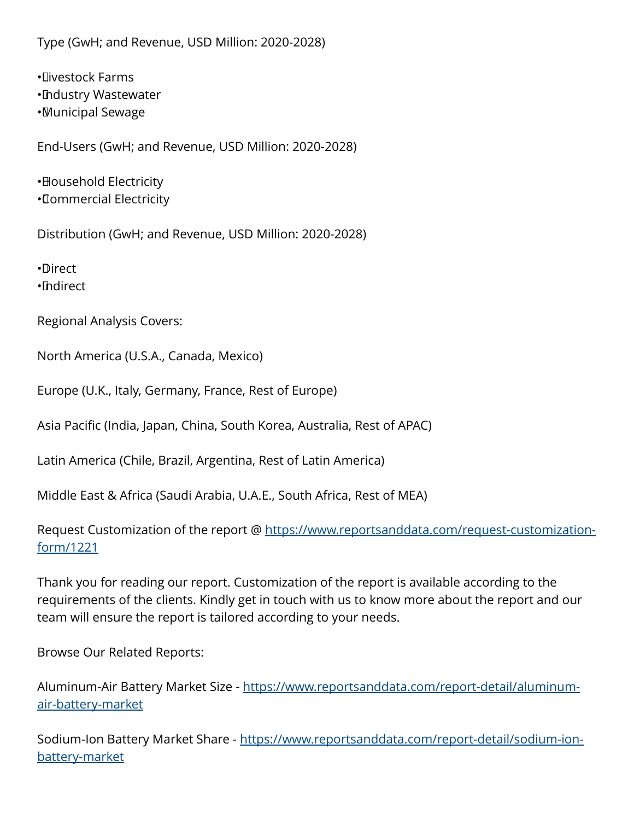Type (GwH; and Revenue, USD Million: 2020-2028)

• Livestock Farms • Industry Wastewater • Municipal Sewage

End-Users (GwH; and Revenue, USD Million: 2020-2028)

• Household Electricity • Commercial Electricity

Distribution (GwH; and Revenue, USD Million: 2020-2028)

• Direct • Indirect

Regional Analysis Covers:

North America (U.S.A., Canada, Mexico)

Europe (U.K., Italy, Germany, France, Rest of Europe)

Asia Pacific (India, Japan, China, South Korea, Australia, Rest of APAC)

Latin America (Chile, Brazil, Argentina, Rest of Latin America)

Middle East & Africa (Saudi Arabia, U.A.E., South Africa, Rest of MEA)

Request Customization of the report @ [https://www.reportsanddata.com/request-customization](https://www.reportsanddata.com/request-customization-form/1221)[form/1221](https://www.reportsanddata.com/request-customization-form/1221)

Thank you for reading our report. Customization of the report is available according to the requirements of the clients. Kindly get in touch with us to know more about the report and our team will ensure the report is tailored according to your needs.

Browse Our Related Reports:

Aluminum-Air Battery Market Size - [https://www.reportsanddata.com/report-detail/aluminum](https://www.reportsanddata.com/report-detail/aluminum-air-battery-market)[air-battery-market](https://www.reportsanddata.com/report-detail/aluminum-air-battery-market)

Sodium-Ion Battery Market Share - [https://www.reportsanddata.com/report-detail/sodium-ion](https://www.reportsanddata.com/report-detail/sodium-ion-battery-market)[battery-market](https://www.reportsanddata.com/report-detail/sodium-ion-battery-market)